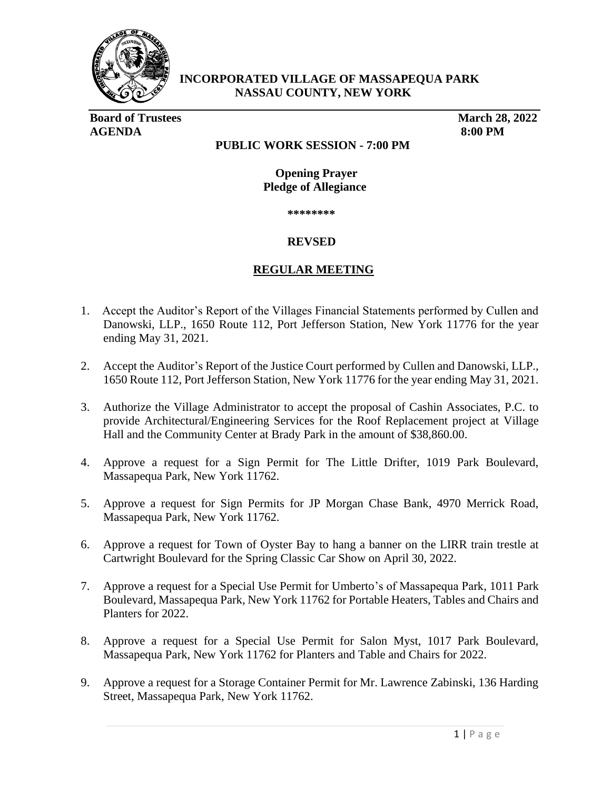

**INCORPORATED VILLAGE OF MASSAPEQUA PARK NASSAU COUNTY, NEW YORK** 

**Board of Trustees March 28, 2022 AGENDA 8:00 PM**

## **PUBLIC WORK SESSION - 7:00 PM**

#### **Opening Prayer Pledge of Allegiance**

 **\*\*\*\*\*\*\*\***

### **REVSED**

## **REGULAR MEETING**

- 1. Accept the Auditor's Report of the Villages Financial Statements performed by Cullen and Danowski, LLP., 1650 Route 112, Port Jefferson Station, New York 11776 for the year ending May 31, 2021.
- 2. Accept the Auditor's Report of the Justice Court performed by Cullen and Danowski, LLP., 1650 Route 112, Port Jefferson Station, New York 11776 for the year ending May 31, 2021.
- 3. Authorize the Village Administrator to accept the proposal of Cashin Associates, P.C. to provide Architectural/Engineering Services for the Roof Replacement project at Village Hall and the Community Center at Brady Park in the amount of \$38,860.00.
- 4. Approve a request for a Sign Permit for The Little Drifter, 1019 Park Boulevard, Massapequa Park, New York 11762.
- 5. Approve a request for Sign Permits for JP Morgan Chase Bank, 4970 Merrick Road, Massapequa Park, New York 11762.
- 6. Approve a request for Town of Oyster Bay to hang a banner on the LIRR train trestle at Cartwright Boulevard for the Spring Classic Car Show on April 30, 2022.
- 7. Approve a request for a Special Use Permit for Umberto's of Massapequa Park, 1011 Park Boulevard, Massapequa Park, New York 11762 for Portable Heaters, Tables and Chairs and Planters for 2022.
- 8. Approve a request for a Special Use Permit for Salon Myst, 1017 Park Boulevard, Massapequa Park, New York 11762 for Planters and Table and Chairs for 2022.
- 9. Approve a request for a Storage Container Permit for Mr. Lawrence Zabinski, 136 Harding Street, Massapequa Park, New York 11762.